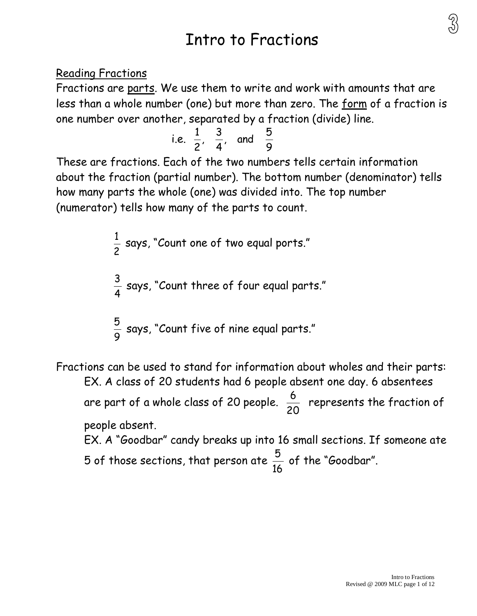# Intro to Fractions

Reading Fractions

Fractions are parts. We use them to write and work with amounts that are less than a whole number (one) but more than zero. The form of a fraction is one number over another, separated by a fraction (divide) line.

i.e. 
$$
\frac{1}{2}
$$
,  $\frac{3}{4}$ , and  $\frac{5}{9}$ 

These are fractions. Each of the two numbers tells certain information about the fraction (partial number). The bottom number (denominator) tells how many parts the whole (one) was divided into. The top number (numerator) tells how many of the parts to count.

$$
\frac{1}{2}
$$
 says, "Count one of two equal ports."  

$$
\frac{3}{4}
$$
 says, "Count three of four equal parts."  

$$
\frac{5}{9}
$$
 says, "Count five of nine equal parts."

Fractions can be used to stand for information about wholes and their parts: EX. A class of 20 students had 6 people absent one day. 6 absentees are part of a whole class of 20 people. 20 6 represents the fraction of people absent. EX. A "Goodbar" candy breaks up into 16 small sections. If someone ate 5 of those sections, that person ate 16  $\frac{5}{11}$  of the "Goodbar".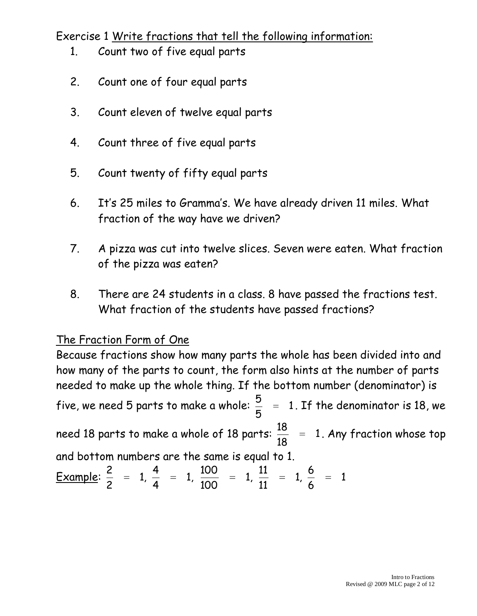### Exercise 1 Write fractions that tell the following information:

- 1. Count two of five equal parts
- 2. Count one of four equal parts
- 3. Count eleven of twelve equal parts
- 4. Count three of five equal parts
- 5. Count twenty of fifty equal parts
- 6. It's 25 miles to Gramma's. We have already driven 11 miles. What fraction of the way have we driven?
- 7. A pizza was cut into twelve slices. Seven were eaten. What fraction of the pizza was eaten?
- 8. There are 24 students in a class. 8 have passed the fractions test. What fraction of the students have passed fractions?

## The Fraction Form of One

Because fractions show how many parts the whole has been divided into and how many of the parts to count, the form also hints at the number of parts needed to make up the whole thing. If the bottom number (denominator) is five, we need 5 parts to make a whole:  $\frac{3}{2}$  = 1 5 5 . If the denominator is 18, we need 18 parts to make a whole of 18 parts:  $\frac{16}{10}$  = 1 18 18 . Any fraction whose top and bottom numbers are the same is equal to 1.

Example: 
$$
\frac{2}{2}
$$
 = 1,  $\frac{4}{4}$  = 1,  $\frac{100}{100}$  = 1,  $\frac{11}{11}$  = 1,  $\frac{6}{6}$  = 1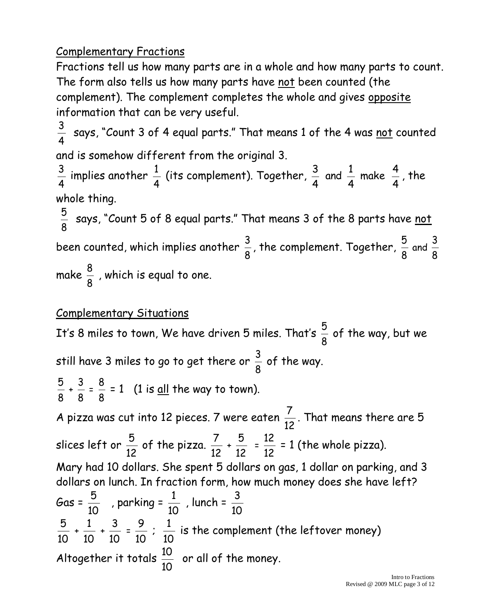## Complementary Fractions

Fractions tell us how many parts are in a whole and how many parts to count. The form also tells us how many parts have not been counted (the complement). The complement completes the whole and gives opposite information that can be very useful.

4  $\frac{3}{4}$  says, "Count 3 of 4 equal parts." That means 1 of the 4 was <u>not</u> counted and is somehow different from the original 3.

4  $\frac{3}{4}$  implies another 4  $\frac{1}{4}$  (its complement). Together, 4 4 make 4 1 and 4 3 , the whole thing.

8  $\frac{5}{3}$  says, "Count 5 of 8 equal parts." That means 3 of the 8 parts have <u>not</u> been counted, which implies another 8  $\frac{3}{2}$ , the complement. Together, 8 5 and 8 3 make 8  $\frac{8}{9}$  , which is equal to one.

#### Complementary Situations

It's 8 miles to town, We have driven 5 miles. That's 8  $\frac{5}{6}$  of the way, but we still have 3 miles to go to get there or 8  $\frac{3}{2}$  of the way. 8 5 + 8 3 = 8  $\frac{8}{9}$  = 1 (1 is <u>all</u> the way to town). A pizza was cut into 12 pieces. 7 were eaten 12 7 . That means there are 5 slices left or 12 5 of the pizza. 12 7 + 12 5  $=$ 12 12 = 1 (the whole pizza). Mary had 10 dollars. She spent 5 dollars on gas, 1 dollar on parking, and 3 dollars on lunch. In fraction form, how much money does she have left? Gas = 10 5 , parking = 10 1 , lunch = 10 3 10 5 + 10 1 + 10 3 = 10 9 ; 10 1 is the complement (the leftover money) Altogether it totals 10 10 or all of the money.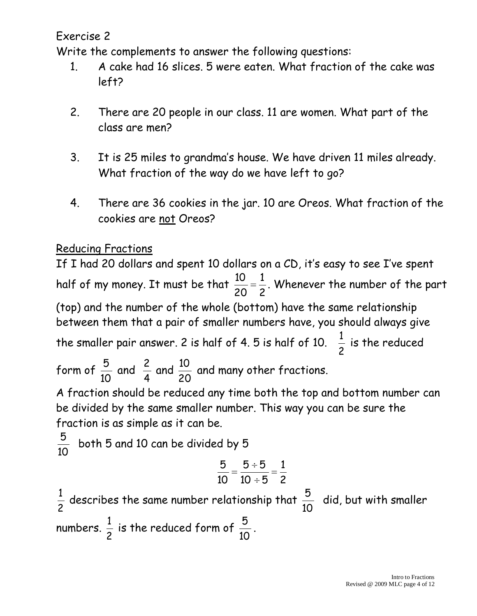Exercise 2

Write the complements to answer the following questions:

- 1. A cake had 16 slices. 5 were eaten. What fraction of the cake was left?
- 2. There are 20 people in our class. 11 are women. What part of the class are men?
- 3. It is 25 miles to grandma's house. We have driven 11 miles already. What fraction of the way do we have left to go?
- 4. There are 36 cookies in the jar. 10 are Oreos. What fraction of the cookies are not Oreos?

## Reducing Fractions

If I had 20 dollars and spent 10 dollars on a CD, it's easy to see I've spent half of my money. It must be that 2 1 20 10 . Whenever the number of the part (top) and the number of the whole (bottom) have the same relationship between them that a pair of smaller numbers have, you should always give the smaller pair answer. 2 is half of 4. 5 is half of 10. 2  $\frac{1}{2}$  is the reduced form of 10 5 and 4  $\frac{2}{4}$  and 20 10 and many other fractions.

A fraction should be reduced any time both the top and bottom number can be divided by the same smaller number. This way you can be sure the fraction is as simple as it can be.

$$
\frac{5}{10}
$$
 both 5 and 10 can be divided by 5  
\n
$$
\frac{5}{10} = \frac{5 \div 5}{10 \div 5} = \frac{1}{2}
$$
\n
$$
\frac{1}{2}
$$
 describes the same number relationship that  $\frac{5}{10}$  did, but with smaller numbers.  $\frac{1}{2}$  is the reduced form of  $\frac{5}{10}$ .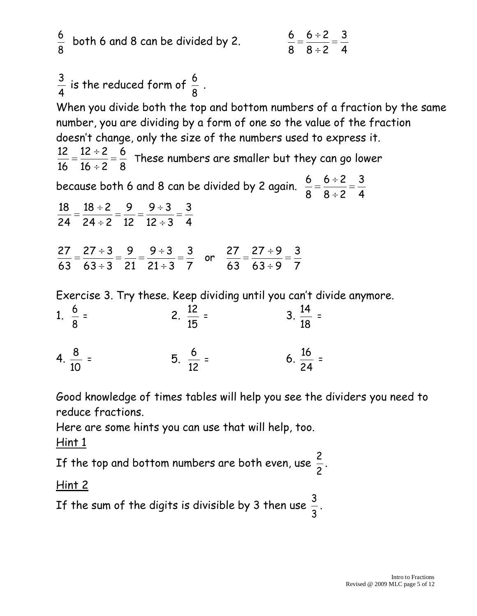$$
\frac{6}{8}
$$
 both 6 and 8 can be divided by 2. 
$$
\frac{6}{8} = \frac{6 \div 2}{8 \div 2} = \frac{3}{4}
$$
  
\n
$$
\frac{3}{4}
$$
 is the reduced form of  $\frac{6}{8}$ .  
\nWhen you divide both the top and bottom numbers of a fraction by the same  
\nnumber, you are dividing by a form of one so the value of the fraction  
\ndoesn't change, only the size of the numbers used to express it.  
\n
$$
\frac{12}{16} = \frac{12 \div 2}{16 \div 2} = \frac{6}{8}
$$
 These numbers are smaller but they can go lower  
\nbecause both 6 and 8 can be divided by 2 again.  $\frac{6}{8} = \frac{6 \div 2}{8 \div 2} = \frac{3}{4}$   
\n
$$
\frac{18}{24} = \frac{18 \div 2}{24 \div 2} = \frac{9}{12} = \frac{9 \div 3}{12 \div 3} = \frac{3}{4}
$$
  
\n
$$
\frac{27}{63} = \frac{27 \div 3}{63 \div 3} = \frac{9}{21} = \frac{9 \div 3}{21 \div 3} = \frac{3}{7}
$$
  
\nExercise 3. Try these. Keep dividing until you can't divide anymore.  
\n1.  $\frac{6}{8} = 2$ .  $\frac{12}{15} = 3$ .  $\frac{14}{18} =$   
\n4.  $\frac{8}{10} = 5$ .  $\frac{6}{12} = 6$ .  $\frac{16}{24} =$ 

Good knowledge of times tables will help you see the dividers you need to reduce fractions.

Here are some hints you can use that will help, too.  $Hint 1$ 

If the top and bottom numbers are both even, use  $\frac{2}{2}$ .

## Hint 2

If the sum of the digits is divisible by 3 then use  $\frac{3}{2}$ .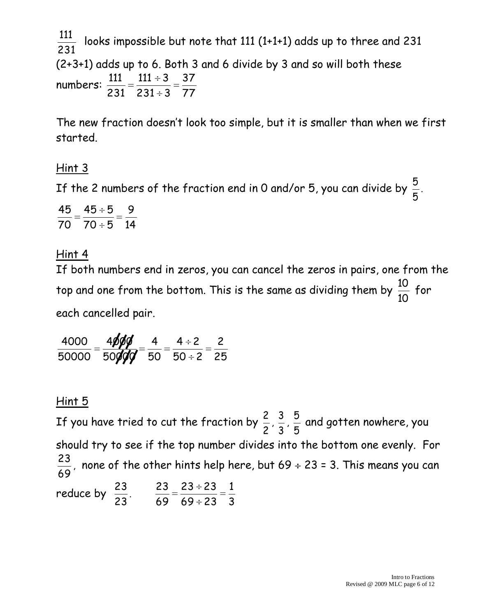231 111 looks impossible but note that 111 (1+1+1) adds up to three and 231 (2+3+1) adds up to 6. Both 3 and 6 divide by 3 and so will both these numbers: 77 37  $231 \div 3$  $111 \div 3$ 231 111

The new fraction doesn't look too simple, but it is smaller than when we first started.

### Hint 3

If the 2 numbers of the fraction end in 0 and/or 5, you can divide by 5 5 .

14 9  $70 \div 5$  $\overline{45} \div 5$ 70 45

#### Hint 4

If both numbers end in zeros, you can cancel the zeros in pairs, one from the top and one from the bottom. This is the same as dividing them by 10 10 for each cancelled pair.

25 2  $50 \div 2$  $4 \div 2$ 50 4 50**ØØ** 4**øøø** 50000 4000

#### Hint 5

If you have tried to cut the fraction by 2 2 , 3 3 , 5  $\frac{5}{5}$  and gotten nowhere, you should try to see if the top number divides into the bottom one evenly. For 69 23 , none of the other hints help here, but 69 ÷ 23 = 3. This means you can reduce by 23 23 . 3 1 69 ÷ 23  $23 \div 23$ 69 23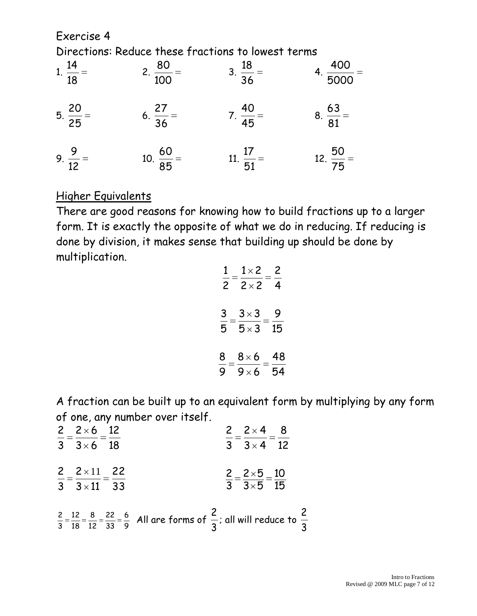Exercise 4 Directions: Reduce these fractions to lowest terms

| 1. $\frac{14}{18}$ =   | 2. $\frac{80}{100}$ = | $3. \ \frac{18}{36} =$ | $4. \ \frac{400}{5000}$ |
|------------------------|-----------------------|------------------------|-------------------------|
| $5. \ \frac{20}{25} =$ | $6. \frac{27}{36} =$  | $7. \ \frac{40}{45} =$ | $8. \ \frac{63}{81} =$  |
| 9. $\frac{9}{12}$ =    | 10. $\frac{60}{85}$ = | 11. $\frac{17}{51}$ =  | 12. $\frac{50}{75}$ =   |

#### Higher Equivalents

There are good reasons for knowing how to build fractions up to a larger form. It is exactly the opposite of what we do in reducing. If reducing is done by division, it makes sense that building up should be done by multiplication.

| $\mathbf{1}$   | $1\times 2$  | 2  |
|----------------|--------------|----|
| $\overline{2}$ | $2 \times 2$ | 4  |
| 3              | $3 \times 3$ | 9  |
| $\bar{5}$      | $5 \times 3$ | 15 |
| 8              | $8\times 6$  | 48 |
| 9              | $9\times 6$  | 54 |

A fraction can be built up to an equivalent form by multiplying by any form of one, any number over itself.

| $\frac{2}{3} = \frac{2 \times 6}{3 \times 6} = \frac{12}{18}$   | $\frac{2}{3} = \frac{2 \times 4}{3 \times 4} = \frac{8}{12}$                                                                                         |
|-----------------------------------------------------------------|------------------------------------------------------------------------------------------------------------------------------------------------------|
|                                                                 |                                                                                                                                                      |
| $\frac{2}{3} = \frac{2 \times 11}{3 \times 11} = \frac{22}{33}$ | $\frac{2}{3} = \frac{2 \times 5}{3 \times 5} = \frac{10}{15}$                                                                                        |
|                                                                 | $\frac{2}{3}$ = $\frac{12}{18}$ = $\frac{8}{12}$ = $\frac{22}{33}$ = $\frac{6}{9}$ All are forms of $\frac{2}{3}$ ; all will reduce to $\frac{2}{3}$ |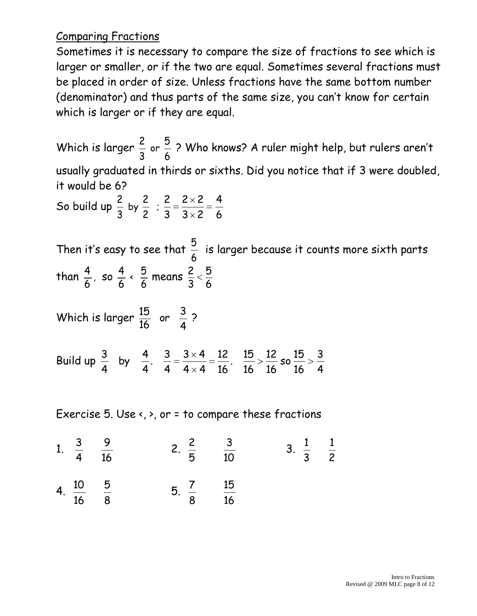#### Comparing Fractions

Sometimes it is necessary to compare the size of fractions to see which is larger or smaller, or if the two are equal. Sometimes several fractions must be placed in order of size. Unless fractions have the same bottom number (denominator) and thus parts of the same size, you can't know for certain which is larger or if they are equal.

Which is larger or  $\frac{5}{4}$  ? Who knows? A ruler might help, but rulers aren't usually graduated in thirds or sixths. Did you notice that if 3 were doubled, it would be 6?

So build up by ;  $3\times 2$  $2 \times 2$  

Then it's easy to see that  $\frac{5}{4}$  is larger because it counts more sixth parts  $\frac{1}{3}$ than  $\frac{4}{6}$ , so  $\frac{4}{1}$   $\frac{5}{6}$  means 

Which is larger 
$$
\frac{15}{16}
$$
 or  $\frac{3}{4}$  ?

Build up so .  $4 \times 4$  $3\times 4$  . by 

Exercise 5. Use  $\left\langle \cdot,\cdot\right\rangle$ , or = to compare these fractions

| 1. $\frac{3}{4}$ $\frac{9}{16}$  | 2. $\frac{2}{5}$ $\frac{3}{10}$  | 3. $\frac{1}{3}$ $\frac{1}{2}$ |  |
|----------------------------------|----------------------------------|--------------------------------|--|
| 4. $\frac{10}{16}$ $\frac{5}{8}$ | 5. $\frac{7}{8}$ $\frac{15}{16}$ |                                |  |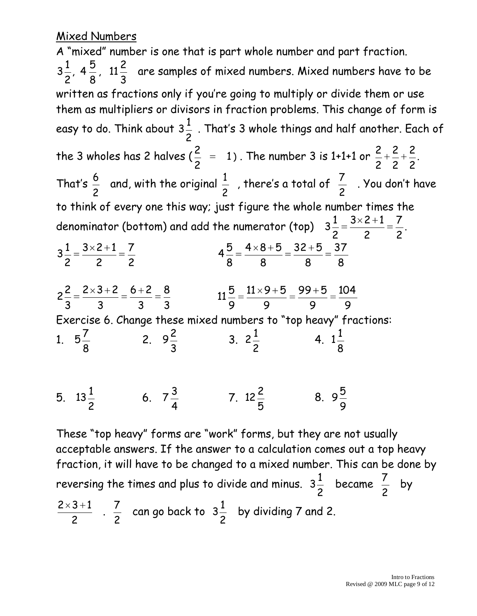### Mixed Numbers

A "mixed" number is one that is part whole number and part fraction. , 11 , 4  $3\frac{1}{2}$ ,  $4\frac{1}{2}$ ,  $11\frac{1}{2}$  are samples of mixed numbers. Mixed numbers have to be written as fractions only if you're going to multiply or divide them or use them as multipliers or divisors in fraction problems. This change of form is easy to do. Think about . That's 3 whole things and half another. Each of the 3 wholes has 2 halves ( $\frac{2}{5}$  = 1  $\frac{2}{2}$  = 1). The number 3 is 1+1+1 or  $\frac{2}{3} + \frac{2}{3} + \frac{2}{3}$ . That's  $\frac{6}{6}$  and, with the original  $\frac{1}{2}$  , there's a total of  $\frac{7}{2}$  . You don't have to think of every one this way; just figure the whole number times the denominator (bottom) and add the numerator (top)  $3\frac{1}{2} = \frac{3}{2} = \frac{3}{2}$ .  $3 \times 2 + 1$   $3 \times 2 + 1$   $3\frac{1}{2} = \frac{3\sqrt{2}+1}{2} = \frac{7}{2}$   $32 + 5$   $4 \times 8 + 5$   $6 + 2$   $2 \times 3 + 2$   $2\frac{2}{2} = \frac{2\times3}{2} = \frac{6\times2}{2} = \frac{3}{2}$   $99 + 5$   $11 \times 9 + 5$  Exercise 6. Change these mixed numbers to "top heavy" fractions: 1.  $5\frac{7}{3}$  2.  $9\frac{2}{3}$  3.  $2\frac{1}{2}$  4. 5.  $13\frac{1}{2}$  6.  $7\frac{3}{4}$  7. 8. 

These "top heavy" forms are "work" forms, but they are not usually acceptable answers. If the answer to a calculation comes out a top heavy fraction, it will have to be changed to a mixed number. This can be done by reversing the times and plus to divide and minus.  $3\frac{1}{2}$  became  $\frac{7}{4}$  by  $rac{2\times 3+1}{2}$ .  $\frac{7}{6}$  can go back to  $3\frac{1}{2}$  by dividing 7 and 2.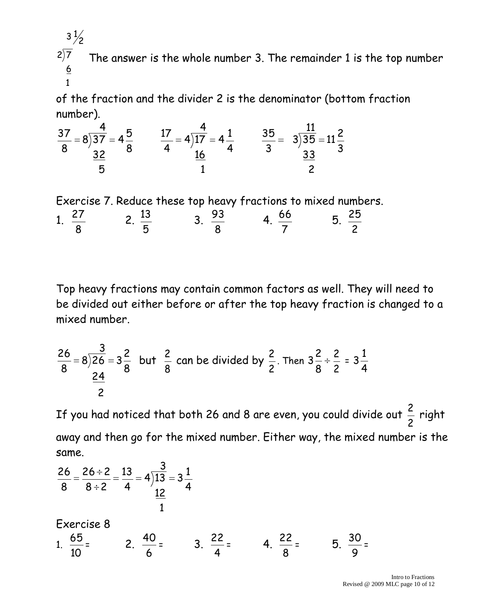$\underline{6}$  $2\sqrt{7}$  $3\frac{1}{2}$ The answer is the whole number 3. The remainder 1 is the top number

of the fraction and the divider 2 is the denominator (bottom fraction number).

$$
\frac{37}{8} = 8\overline{\smash)37} = 4\frac{5}{8} \qquad \frac{17}{4} = 4\overline{\smash)17} = 4\frac{1}{4} \qquad \frac{35}{3} = 3\overline{\smash)35} = 11\frac{2}{3}
$$
  

$$
\frac{32}{5} = 11\frac{2}{3}
$$

Exercise 7. Reduce these top heavy fractions to mixed numbers. 1. 2.  $\frac{13}{7}$  3.  $\frac{93}{2}$  4. 5. 

Top heavy fractions may contain common factors as well. They will need to be divided out either before or after the top heavy fraction is changed to a mixed number.

$$
\frac{26}{8} = 8\overline{\smash)26} = 3\frac{2}{8}
$$
 but  $\frac{2}{8}$  can be divided by  $\frac{2}{2}$ . Then  $3\frac{2}{8} \div \frac{2}{2} = 3\frac{1}{4}$ 

If you had noticed that both 26 and 8 are even, you could divide out  $\frac{2}{5}$  right away and then go for the mixed number. Either way, the mixed number is the same.

$$
\frac{26}{8} = \frac{26 \div 2}{8 \div 2} = \frac{13}{4} = 4\overline{\smash{)}13} = 3\frac{1}{4}
$$
\nExercise 8

\n
$$
1. \frac{65}{10} = 2. \frac{40}{6} = 3. \frac{22}{4} = 4. \frac{22}{8} = 5. \frac{30}{9} =
$$